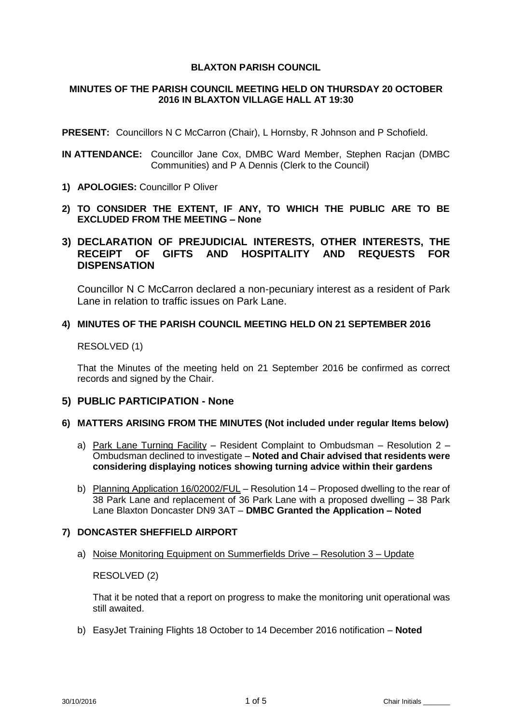## **BLAXTON PARISH COUNCIL**

## **MINUTES OF THE PARISH COUNCIL MEETING HELD ON THURSDAY 20 OCTOBER 2016 IN BLAXTON VILLAGE HALL AT 19:30**

**PRESENT:** Councillors N C McCarron (Chair), L Hornsby, R Johnson and P Schofield.

- **IN ATTENDANCE:** Councillor Jane Cox, DMBC Ward Member, Stephen Racjan (DMBC Communities) and P A Dennis (Clerk to the Council)
- **1) APOLOGIES:** Councillor P Oliver
- **2) TO CONSIDER THE EXTENT, IF ANY, TO WHICH THE PUBLIC ARE TO BE EXCLUDED FROM THE MEETING – None**

# **3) DECLARATION OF PREJUDICIAL INTERESTS, OTHER INTERESTS, THE RECEIPT OF GIFTS AND HOSPITALITY AND REQUESTS FOR DISPENSATION**

Councillor N C McCarron declared a non-pecuniary interest as a resident of Park Lane in relation to traffic issues on Park Lane.

## **4) MINUTES OF THE PARISH COUNCIL MEETING HELD ON 21 SEPTEMBER 2016**

## RESOLVED (1)

That the Minutes of the meeting held on 21 September 2016 be confirmed as correct records and signed by the Chair.

## **5) PUBLIC PARTICIPATION - None**

## **6) MATTERS ARISING FROM THE MINUTES (Not included under regular Items below)**

- a) Park Lane Turning Facility Resident Complaint to Ombudsman Resolution 2 Ombudsman declined to investigate – **Noted and Chair advised that residents were considering displaying notices showing turning advice within their gardens**
- b) Planning Application 16/02002/FUL Resolution 14 Proposed dwelling to the rear of 38 Park Lane and replacement of 36 Park Lane with a proposed dwelling – 38 Park Lane Blaxton Doncaster DN9 3AT – **DMBC Granted the Application – Noted**

## **7) DONCASTER SHEFFIELD AIRPORT**

a) Noise Monitoring Equipment on Summerfields Drive – Resolution 3 – Update

RESOLVED (2)

That it be noted that a report on progress to make the monitoring unit operational was still awaited.

b) EasyJet Training Flights 18 October to 14 December 2016 notification – **Noted**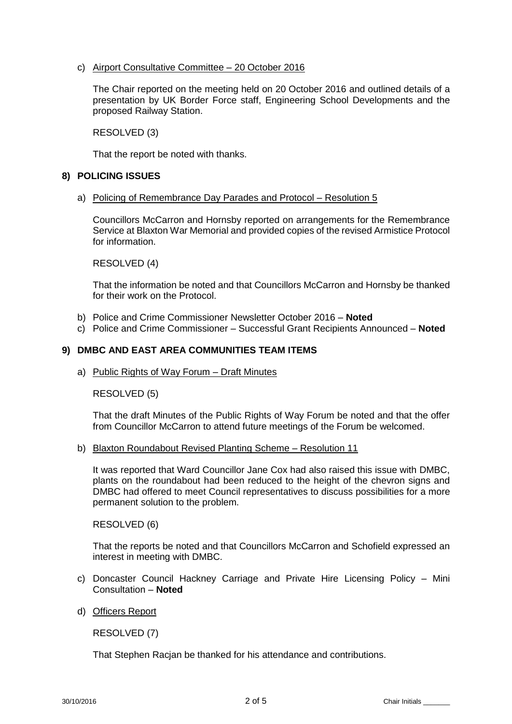c) Airport Consultative Committee – 20 October 2016

The Chair reported on the meeting held on 20 October 2016 and outlined details of a presentation by UK Border Force staff, Engineering School Developments and the proposed Railway Station.

RESOLVED (3)

That the report be noted with thanks.

## **8) POLICING ISSUES**

a) Policing of Remembrance Day Parades and Protocol – Resolution 5

Councillors McCarron and Hornsby reported on arrangements for the Remembrance Service at Blaxton War Memorial and provided copies of the revised Armistice Protocol for information.

RESOLVED (4)

That the information be noted and that Councillors McCarron and Hornsby be thanked for their work on the Protocol.

- b) Police and Crime Commissioner Newsletter October 2016 **Noted**
- c) Police and Crime Commissioner Successful Grant Recipients Announced **Noted**

## **9) DMBC AND EAST AREA COMMUNITIES TEAM ITEMS**

a) Public Rights of Way Forum – Draft Minutes

RESOLVED (5)

That the draft Minutes of the Public Rights of Way Forum be noted and that the offer from Councillor McCarron to attend future meetings of the Forum be welcomed.

## b) Blaxton Roundabout Revised Planting Scheme – Resolution 11

It was reported that Ward Councillor Jane Cox had also raised this issue with DMBC, plants on the roundabout had been reduced to the height of the chevron signs and DMBC had offered to meet Council representatives to discuss possibilities for a more permanent solution to the problem.

RESOLVED (6)

That the reports be noted and that Councillors McCarron and Schofield expressed an interest in meeting with DMBC.

- c) Doncaster Council Hackney Carriage and Private Hire Licensing Policy Mini Consultation – **Noted**
- d) Officers Report

RESOLVED (7)

That Stephen Racjan be thanked for his attendance and contributions.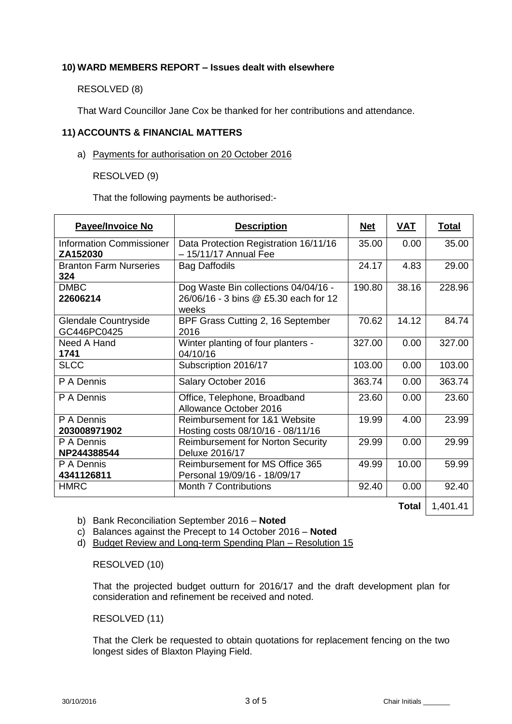## **10) WARD MEMBERS REPORT – Issues dealt with elsewhere**

RESOLVED (8)

That Ward Councillor Jane Cox be thanked for her contributions and attendance.

## **11) ACCOUNTS & FINANCIAL MATTERS**

a) Payments for authorisation on 20 October 2016

RESOLVED (9)

That the following payments be authorised:-

| <b>Payee/Invoice No</b>                     | <b>Description</b>                                                                     | <u>Net</u> | <u>VAT</u> | <u>Total</u> |
|---------------------------------------------|----------------------------------------------------------------------------------------|------------|------------|--------------|
| <b>Information Commissioner</b><br>ZA152030 | Data Protection Registration 16/11/16<br>$-15/11/17$ Annual Fee                        | 35.00      | 0.00       | 35.00        |
| <b>Branton Farm Nurseries</b><br>324        | <b>Bag Daffodils</b>                                                                   | 24.17      | 4.83       | 29.00        |
| <b>DMBC</b><br>22606214                     | Dog Waste Bin collections 04/04/16 -<br>26/06/16 - 3 bins @ £5.30 each for 12<br>weeks | 190.80     | 38.16      | 228.96       |
| Glendale Countryside<br>GC446PC0425         | BPF Grass Cutting 2, 16 September<br>2016                                              | 70.62      | 14.12      | 84.74        |
| Need A Hand<br>1741                         | Winter planting of four planters -<br>04/10/16                                         | 327.00     | 0.00       | 327.00       |
| <b>SLCC</b>                                 | Subscription 2016/17                                                                   | 103.00     | 0.00       | 103.00       |
| P A Dennis                                  | Salary October 2016                                                                    | 363.74     | 0.00       | 363.74       |
| P A Dennis                                  | Office, Telephone, Broadband<br>Allowance October 2016                                 | 23.60      | 0.00       | 23.60        |
| P A Dennis<br>203008971902                  | Reimbursement for 1&1 Website<br>Hosting costs 08/10/16 - 08/11/16                     | 19.99      | 4.00       | 23.99        |
| P A Dennis<br>NP244388544                   | <b>Reimbursement for Norton Security</b><br>Deluxe 2016/17                             | 29.99      | 0.00       | 29.99        |
| P A Dennis<br>4341126811                    | Reimbursement for MS Office 365<br>Personal 19/09/16 - 18/09/17                        | 49.99      | 10.00      | 59.99        |
| <b>HMRC</b>                                 | <b>Month 7 Contributions</b>                                                           | 92.40      | 0.00       | 92.40        |

**Total** 1,401.41

b) Bank Reconciliation September 2016 – **Noted**

- c) Balances against the Precept to 14 October 2016 **Noted**
- d) Budget Review and Long-term Spending Plan Resolution 15

RESOLVED (10)

That the projected budget outturn for 2016/17 and the draft development plan for consideration and refinement be received and noted.

RESOLVED (11)

That the Clerk be requested to obtain quotations for replacement fencing on the two longest sides of Blaxton Playing Field.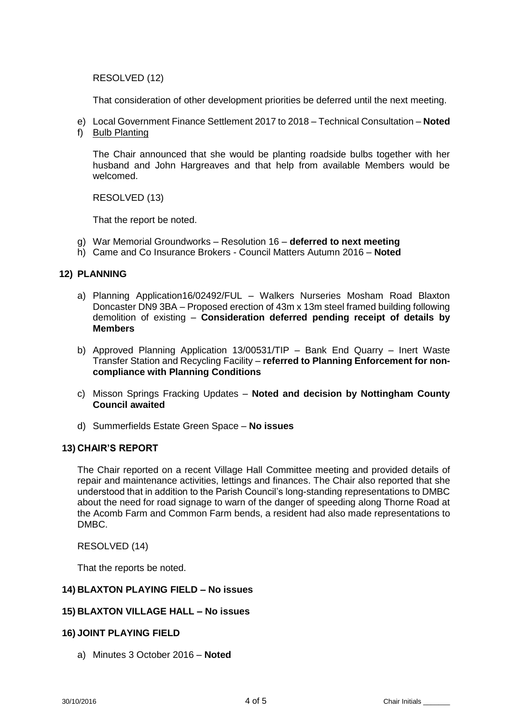RESOLVED (12)

That consideration of other development priorities be deferred until the next meeting.

- e) Local Government Finance Settlement 2017 to 2018 Technical Consultation **Noted**
- f) Bulb Planting

The Chair announced that she would be planting roadside bulbs together with her husband and John Hargreaves and that help from available Members would be welcomed.

RESOLVED (13)

That the report be noted.

- g) War Memorial Groundworks Resolution 16 **deferred to next meeting**
- h) Came and Co Insurance Brokers Council Matters Autumn 2016 **Noted**

## **12) PLANNING**

- a) Planning Application16/02492/FUL Walkers Nurseries Mosham Road Blaxton Doncaster DN9 3BA – Proposed erection of 43m x 13m steel framed building following demolition of existing – **Consideration deferred pending receipt of details by Members**
- b) Approved Planning Application 13/00531/TIP Bank End Quarry Inert Waste Transfer Station and Recycling Facility – **referred to Planning Enforcement for noncompliance with Planning Conditions**
- c) Misson Springs Fracking Updates **Noted and decision by Nottingham County Council awaited**
- d) Summerfields Estate Green Space **No issues**

#### **13) CHAIR'S REPORT**

The Chair reported on a recent Village Hall Committee meeting and provided details of repair and maintenance activities, lettings and finances. The Chair also reported that she understood that in addition to the Parish Council's long-standing representations to DMBC about the need for road signage to warn of the danger of speeding along Thorne Road at the Acomb Farm and Common Farm bends, a resident had also made representations to DMBC.

RESOLVED (14)

That the reports be noted.

#### **14) BLAXTON PLAYING FIELD – No issues**

#### **15) BLAXTON VILLAGE HALL – No issues**

#### **16) JOINT PLAYING FIELD**

a) Minutes 3 October 2016 – **Noted**